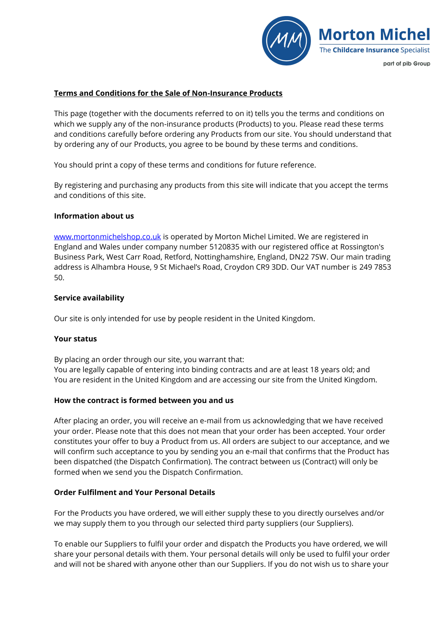

### **Terms and Conditions for the Sale of Non-Insurance Products**

This page (together with the documents referred to on it) tells you the terms and conditions on which we supply any of the non-insurance products (Products) to you. Please read these terms and conditions carefully before ordering any Products from our site. You should understand that by ordering any of our Products, you agree to be bound by these terms and conditions.

You should print a copy of these terms and conditions for future reference.

By registering and purchasing any products from this site will indicate that you accept the terms and conditions of this site.

### **Information about us**

[www.mortonmichelshop.co.](http://www.mortonmichelshop.co/)uk is operated by Morton Michel Limited. We are registered in England and Wales under company number 5120835 with our registered office at Rossington's Business Park, West Carr Road, Retford, Nottinghamshire, England, DN22 7SW. Our main trading address is Alhambra House, 9 St Michael's Road, Croydon CR9 3DD. Our VAT number is 249 7853 50.

### **Service availability**

Our site is only intended for use by people resident in the United Kingdom.

### **Your status**

By placing an order through our site, you warrant that:

You are legally capable of entering into binding contracts and are at least 18 years old; and You are resident in the United Kingdom and are accessing our site from the United Kingdom.

### **How the contract is formed between you and us**

After placing an order, you will receive an e-mail from us acknowledging that we have received your order. Please note that this does not mean that your order has been accepted. Your order constitutes your offer to buy a Product from us. All orders are subject to our acceptance, and we will confirm such acceptance to you by sending you an e-mail that confirms that the Product has been dispatched (the Dispatch Confirmation). The contract between us (Contract) will only be formed when we send you the Dispatch Confirmation.

### **Order Fulfilment and Your Personal Details**

For the Products you have ordered, we will either supply these to you directly ourselves and/or we may supply them to you through our selected third party suppliers (our Suppliers).

To enable our Suppliers to fulfil your order and dispatch the Products you have ordered, we will share your personal details with them. Your personal details will only be used to fulfil your order and will not be shared with anyone other than our Suppliers. If you do not wish us to share your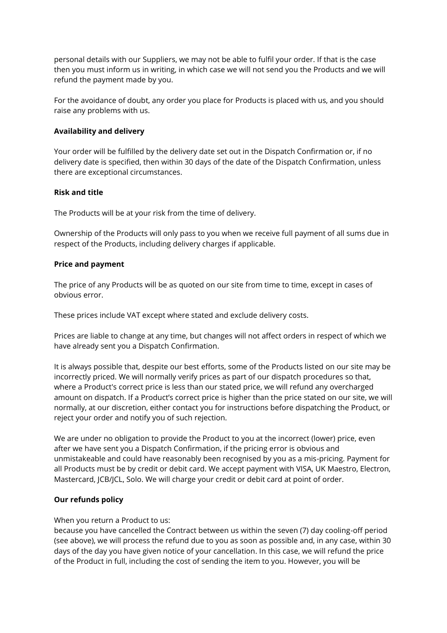personal details with our Suppliers, we may not be able to fulfil your order. If that is the case then you must inform us in writing, in which case we will not send you the Products and we will refund the payment made by you.

For the avoidance of doubt, any order you place for Products is placed with us, and you should raise any problems with us.

# **Availability and delivery**

Your order will be fulfilled by the delivery date set out in the Dispatch Confirmation or, if no delivery date is specified, then within 30 days of the date of the Dispatch Confirmation, unless there are exceptional circumstances.

## **Risk and title**

The Products will be at your risk from the time of delivery.

Ownership of the Products will only pass to you when we receive full payment of all sums due in respect of the Products, including delivery charges if applicable.

## **Price and payment**

The price of any Products will be as quoted on our site from time to time, except in cases of obvious error.

These prices include VAT except where stated and exclude delivery costs.

Prices are liable to change at any time, but changes will not affect orders in respect of which we have already sent you a Dispatch Confirmation.

It is always possible that, despite our best efforts, some of the Products listed on our site may be incorrectly priced. We will normally verify prices as part of our dispatch procedures so that, where a Product's correct price is less than our stated price, we will refund any overcharged amount on dispatch. If a Product's correct price is higher than the price stated on our site, we will normally, at our discretion, either contact you for instructions before dispatching the Product, or reject your order and notify you of such rejection.

We are under no obligation to provide the Product to you at the incorrect (lower) price, even after we have sent you a Dispatch Confirmation, if the pricing error is obvious and unmistakeable and could have reasonably been recognised by you as a mis-pricing. Payment for all Products must be by credit or debit card. We accept payment with VISA, UK Maestro, Electron, Mastercard, JCB/JCL, Solo. We will charge your credit or debit card at point of order.

# **Our refunds policy**

When you return a Product to us:

because you have cancelled the Contract between us within the seven (7) day cooling-off period (see above), we will process the refund due to you as soon as possible and, in any case, within 30 days of the day you have given notice of your cancellation. In this case, we will refund the price of the Product in full, including the cost of sending the item to you. However, you will be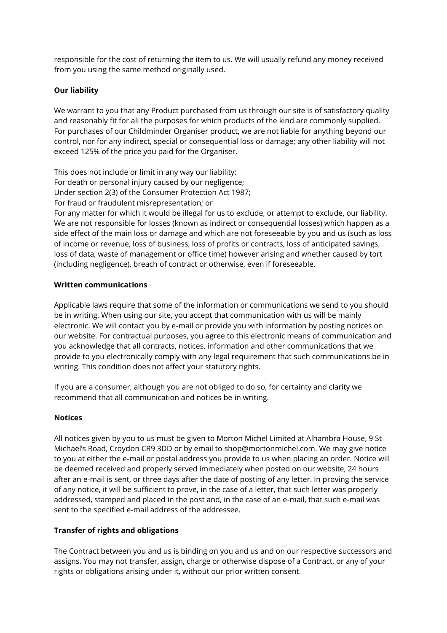responsible for the cost of returning the item to us. We will usually refund any money received from you using the same method originally used.

# **Our liability**

We warrant to you that any Product purchased from us through our site is of satisfactory quality and reasonably fit for all the purposes for which products of the kind are commonly supplied. For purchases of our Childminder Organiser product, we are not liable for anything beyond our control, nor for any indirect, special or consequential loss or damage; any other liability will not exceed 125% of the price you paid for the Organiser.

This does not include or limit in any way our liability: For death or personal injury caused by our negligence; Under section 2(3) of the Consumer Protection Act 1987; For fraud or fraudulent misrepresentation; or For any matter for which it would be illegal for us to exclude, or attempt to exclude, our liability. We are not responsible for losses (known as indirect or consequential losses) which happen as a side effect of the main loss or damage and which are not foreseeable by you and us (such as loss

of income or revenue, loss of business, loss of profits or contracts, loss of anticipated savings, loss of data, waste of management or office time) however arising and whether caused by tort (including negligence), breach of contract or otherwise, even if foreseeable.

# **Written communications**

Applicable laws require that some of the information or communications we send to you should be in writing. When using our site, you accept that communication with us will be mainly electronic. We will contact you by e-mail or provide you with information by posting notices on our website. For contractual purposes, you agree to this electronic means of communication and you acknowledge that all contracts, notices, information and other communications that we provide to you electronically comply with any legal requirement that such communications be in writing. This condition does not affect your statutory rights.

If you are a consumer, although you are not obliged to do so, for certainty and clarity we recommend that all communication and notices be in writing.

# **Notices**

All notices given by you to us must be given to Morton Michel Limited at Alhambra House, 9 St Michael's Road, Croydon CR9 3DD or by email to shop@mortonmichel.com. We may give notice to you at either the e-mail or postal address you provide to us when placing an order. Notice will be deemed received and properly served immediately when posted on our website, 24 hours after an e-mail is sent, or three days after the date of posting of any letter. In proving the service of any notice, it will be sufficient to prove, in the case of a letter, that such letter was properly addressed, stamped and placed in the post and, in the case of an e-mail, that such e-mail was sent to the specified e-mail address of the addressee.

# **Transfer of rights and obligations**

The Contract between you and us is binding on you and us and on our respective successors and assigns. You may not transfer, assign, charge or otherwise dispose of a Contract, or any of your rights or obligations arising under it, without our prior written consent.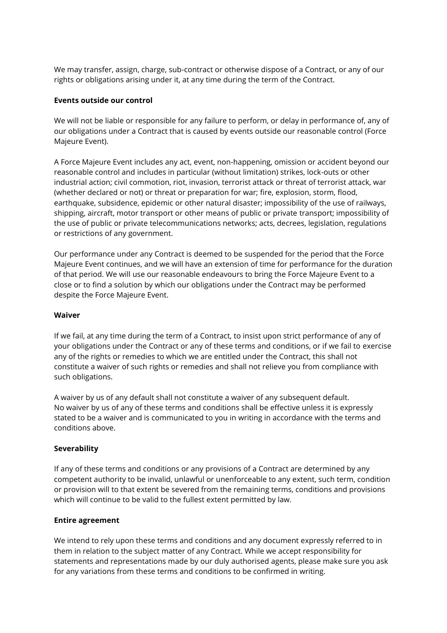We may transfer, assign, charge, sub-contract or otherwise dispose of a Contract, or any of our rights or obligations arising under it, at any time during the term of the Contract.

# **Events outside our control**

We will not be liable or responsible for any failure to perform, or delay in performance of, any of our obligations under a Contract that is caused by events outside our reasonable control (Force Majeure Event).

A Force Majeure Event includes any act, event, non-happening, omission or accident beyond our reasonable control and includes in particular (without limitation) strikes, lock-outs or other industrial action; civil commotion, riot, invasion, terrorist attack or threat of terrorist attack, war (whether declared or not) or threat or preparation for war; fire, explosion, storm, flood, earthquake, subsidence, epidemic or other natural disaster; impossibility of the use of railways, shipping, aircraft, motor transport or other means of public or private transport; impossibility of the use of public or private telecommunications networks; acts, decrees, legislation, regulations or restrictions of any government.

Our performance under any Contract is deemed to be suspended for the period that the Force Majeure Event continues, and we will have an extension of time for performance for the duration of that period. We will use our reasonable endeavours to bring the Force Majeure Event to a close or to find a solution by which our obligations under the Contract may be performed despite the Force Majeure Event.

### **Waiver**

If we fail, at any time during the term of a Contract, to insist upon strict performance of any of your obligations under the Contract or any of these terms and conditions, or if we fail to exercise any of the rights or remedies to which we are entitled under the Contract, this shall not constitute a waiver of such rights or remedies and shall not relieve you from compliance with such obligations.

A waiver by us of any default shall not constitute a waiver of any subsequent default. No waiver by us of any of these terms and conditions shall be effective unless it is expressly stated to be a waiver and is communicated to you in writing in accordance with the terms and conditions above.

# **Severability**

If any of these terms and conditions or any provisions of a Contract are determined by any competent authority to be invalid, unlawful or unenforceable to any extent, such term, condition or provision will to that extent be severed from the remaining terms, conditions and provisions which will continue to be valid to the fullest extent permitted by law.

### **Entire agreement**

We intend to rely upon these terms and conditions and any document expressly referred to in them in relation to the subject matter of any Contract. While we accept responsibility for statements and representations made by our duly authorised agents, please make sure you ask for any variations from these terms and conditions to be confirmed in writing.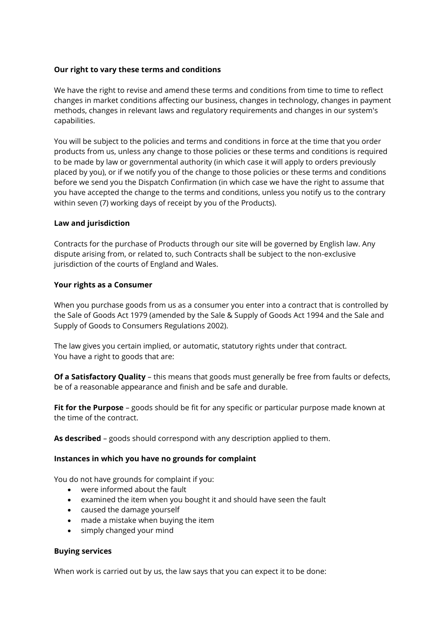## **Our right to vary these terms and conditions**

We have the right to revise and amend these terms and conditions from time to time to reflect changes in market conditions affecting our business, changes in technology, changes in payment methods, changes in relevant laws and regulatory requirements and changes in our system's capabilities.

You will be subject to the policies and terms and conditions in force at the time that you order products from us, unless any change to those policies or these terms and conditions is required to be made by law or governmental authority (in which case it will apply to orders previously placed by you), or if we notify you of the change to those policies or these terms and conditions before we send you the Dispatch Confirmation (in which case we have the right to assume that you have accepted the change to the terms and conditions, unless you notify us to the contrary within seven (7) working days of receipt by you of the Products).

## **Law and jurisdiction**

Contracts for the purchase of Products through our site will be governed by English law. Any dispute arising from, or related to, such Contracts shall be subject to the non-exclusive jurisdiction of the courts of England and Wales.

## **Your rights as a Consumer**

When you purchase goods from us as a consumer you enter into a contract that is controlled by the Sale of Goods Act 1979 (amended by the Sale & Supply of Goods Act 1994 and the Sale and Supply of Goods to Consumers Regulations 2002).

The law gives you certain implied, or automatic, statutory rights under that contract. You have a right to goods that are:

**Of a Satisfactory Quality** – this means that goods must generally be free from faults or defects, be of a reasonable appearance and finish and be safe and durable.

**Fit for the Purpose** – goods should be fit for any specific or particular purpose made known at the time of the contract.

**As described** – goods should correspond with any description applied to them.

### **Instances in which you have no grounds for complaint**

You do not have grounds for complaint if you:

- were informed about the fault
- examined the item when you bought it and should have seen the fault
- caused the damage yourself
- made a mistake when buying the item
- simply changed your mind

### **Buying services**

When work is carried out by us, the law says that you can expect it to be done: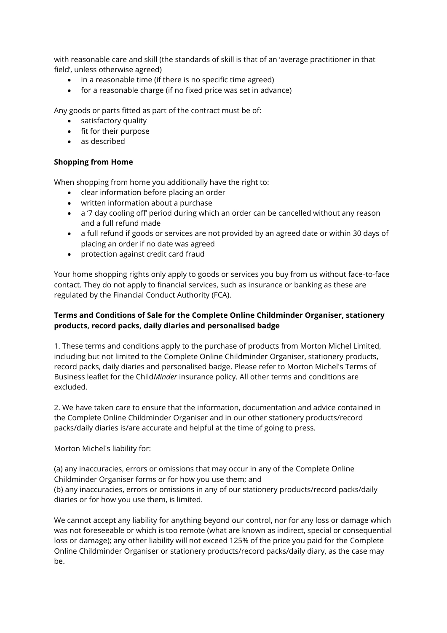with reasonable care and skill (the standards of skill is that of an 'average practitioner in that field', unless otherwise agreed)

- in a reasonable time (if there is no specific time agreed)
- for a reasonable charge (if no fixed price was set in advance)

Any goods or parts fitted as part of the contract must be of:

- satisfactory quality
- fit for their purpose
- as described

# **Shopping from Home**

When shopping from home you additionally have the right to:

- clear information before placing an order
- written information about a purchase
- a '7 day cooling off' period during which an order can be cancelled without any reason and a full refund made
- a full refund if goods or services are not provided by an agreed date or within 30 days of placing an order if no date was agreed
- protection against credit card fraud

Your home shopping rights only apply to goods or services you buy from us without face-to-face contact. They do not apply to financial services, such as insurance or banking as these are regulated by the Financial Conduct Authority (FCA).

# **Terms and Conditions of Sale for the Complete Online Childminder Organiser, stationery products, record packs, daily diaries and personalised badge**

1. These terms and conditions apply to the purchase of products from Morton Michel Limited, including but not limited to the Complete Online Childminder Organiser, stationery products, record packs, daily diaries and personalised badge. Please refer to Morton Michel's Terms of Business leaflet for the Child*Minder* insurance policy. All other terms and conditions are excluded.

2. We have taken care to ensure that the information, documentation and advice contained in the Complete Online Childminder Organiser and in our other stationery products/record packs/daily diaries is/are accurate and helpful at the time of going to press.

Morton Michel's liability for:

(a) any inaccuracies, errors or omissions that may occur in any of the Complete Online Childminder Organiser forms or for how you use them; and (b) any inaccuracies, errors or omissions in any of our stationery products/record packs/daily diaries or for how you use them, is limited.

We cannot accept any liability for anything beyond our control, nor for any loss or damage which was not foreseeable or which is too remote (what are known as indirect, special or consequential loss or damage); any other liability will not exceed 125% of the price you paid for the Complete Online Childminder Organiser or stationery products/record packs/daily diary, as the case may be.